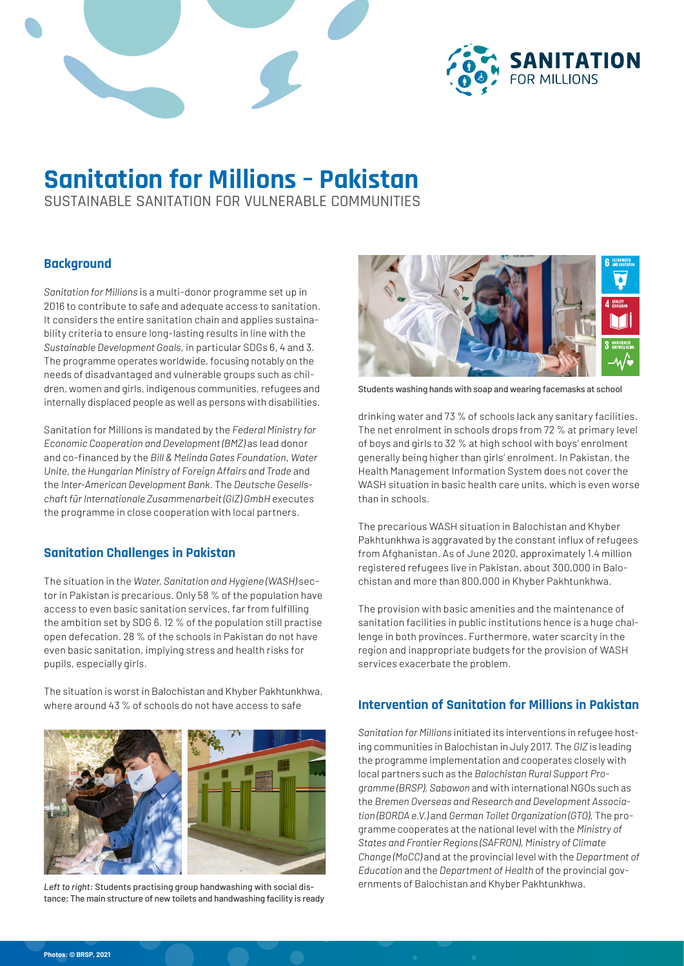



# **Sanitation for Millions – Pakistan**

SUSTAINABLE SANITATION FOR VULNERABLE COMMUNITIES

### **Background**

*Sanitation for Millions* is a multi-donor programme set up in 2016 to contribute to safe and adequate access to sanitation. It considers the entire sanitation chain and applies sustainability criteria to ensure long-lasting results in line with the *Sustainable Development Goals*, in particular SDGs 6, 4 and 3. The programme operates worldwide, focusing notably on the needs of disadvantaged and vulnerable groups such as children, women and girls, indigenous communities, refugees and internally displaced people as well as persons with disabilities.

Sanitation for Millions is mandated by the *Federal Ministry for Economic Cooperation and Development (BMZ)* as lead donor and co-financed by the *Bill & Melinda Gates Foundation*, *Water Unite, the Hungarian Ministry of Foreign Affairs and Trade* and the *Inter-American Development Bank*. The *Deutsche Gesellschaft für Internationale Zusammenarbeit (GIZ) GmbH* executes the programme in close cooperation with local partners.

### **Sanitation Challenges in Pakistan**

The situation in the *Water, Sanitation and Hygiene (WASH)* sector in Pakistan is precarious. Only 58 % of the population have access to even basic sanitation services, far from fulfilling the ambition set by SDG 6. 12 % of the population still practise open defecation. 28 % of the schools in Pakistan do not have even basic sanitation, implying stress and health risks for pupils, especially girls.

The situation is worst in Balochistan and Khyber Pakhtunkhwa, where around 43 % of schools do not have access to safe



Left to right: Students practising group handwashing with social dis-<br>
ernments of Balochistan and Khyber Pakhtunkhwa. tance; The main structure of new toilets and handwashing facility is ready



Students washing hands with soap and wearing facemasks at school

drinking water and 73 % of schools lack any sanitary facilities. The net enrolment in schools drops from 72 % at primary level of boys and girls to 32 % at high school with boys' enrolment generally being higher than girls' enrolment. In Pakistan, the Health Management Information System does not cover the WASH situation in basic health care units, which is even worse than in schools.

The precarious WASH situation in Balochistan and Khyber Pakhtunkhwa is aggravated by the constant influx of refugees from Afghanistan. As of June 2020, approximately 1.4 million registered refugees live in Pakistan, about 300,000 in Balochistan and more than 800,000 in Khyber Pakhtunkhwa.

The provision with basic amenities and the maintenance of sanitation facilities in public institutions hence is a huge challenge in both provinces. Furthermore, water scarcity in the region and inappropriate budgets for the provision of WASH services exacerbate the problem.

### **Intervention of Sanitation for Millions in Pakistan**

*Sanitation for Millions* initiated its interventions in refugee hosting communities in Balochistan in July 2017. The *GIZ* is leading the programme implementation and cooperates closely with local partners such as the *Balochistan Rural Support Programme (BRSP), Sabawon* and with international NGOs such as the *Bremen Overseas and Research and Development Association (BORDA e.V.)* and *German Toilet Organization (GTO).* The programme cooperates at the national level with the *Ministry of States and Frontier Regions (SAFRON), Ministry of Climate Change (MoCC)* and at the provincial level with the *Department of Education* and the *Department of Health* of the provincial gov